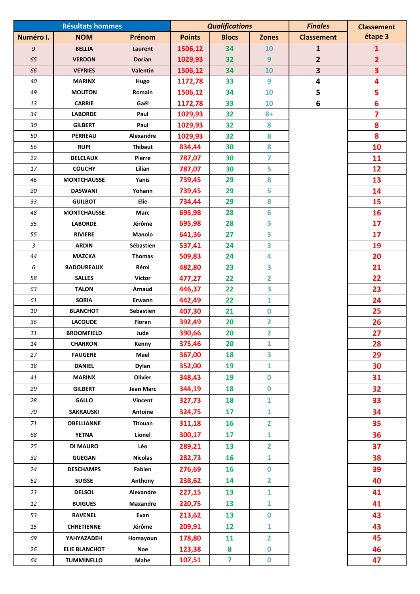| <b>Résultats hommes</b> |                               |                            | <b>Qualifications</b> |                |                         | <b>Finales</b>          | <b>Classement</b>       |
|-------------------------|-------------------------------|----------------------------|-----------------------|----------------|-------------------------|-------------------------|-------------------------|
| Numéro I.               | <b>NOM</b>                    | Prénom                     | <b>Points</b>         | <b>Blocs</b>   | <b>Zones</b>            | <b>Classement</b>       | étape 3                 |
| 9                       | <b>BELLIA</b>                 | Laurent                    | 1506,12               | 34             | 10                      | $\mathbf{1}$            | 1                       |
| 65                      | <b>VERDON</b>                 | <b>Dorian</b>              | 1029,93               | 32             | 9                       | $\overline{2}$          | $\overline{2}$          |
| 66                      | <b>VEYRIES</b>                | <b>Valentin</b>            | 1506,12               | 34             | 10                      | $\overline{\mathbf{3}}$ | 3                       |
| 40                      | <b>MARINX</b>                 | Hugo                       | 1172,78               | 33             | 9                       | 4                       | $\overline{\mathbf{4}}$ |
| 49                      | <b>MOUTON</b>                 | Romain                     | 1506,12               | 34             | 10                      | 5                       | 5                       |
| 13                      | <b>CARRIE</b>                 | Gaël                       | 1172,78               | 33             | 10                      | 6                       | $6\phantom{1}6$         |
| 34                      | <b>LABORDE</b>                | Paul                       | 1029,93               | 32             | $8+$                    |                         | $\overline{\mathbf{z}}$ |
| 30                      | <b>GILBERT</b>                | Paul                       | 1029,93               | 32             | 8                       |                         | 8                       |
| 50                      | <b>PERREAU</b>                | Alexandre                  | 1029,93               | 32             | 8                       |                         | 8                       |
| 56                      | <b>RUPI</b>                   | <b>Thibaut</b>             | 834,44                | 30             | 8                       |                         | 10                      |
| 22                      | <b>DELCLAUX</b>               | Pierre                     | 787,07                | 30             | $\overline{7}$          |                         | 11                      |
| 17                      | <b>COUCHY</b>                 | Lilian                     | 787,07                | 30             | 5                       |                         | 12                      |
| 46                      | <b>MONTCHAUSSE</b>            | Yanis                      | 739,45                | 29             | 8                       |                         | 13                      |
| 20                      | <b>DASWANI</b>                | Yohann                     | 739,45                | 29             | 5                       |                         | 14                      |
| 33                      | <b>GUILBOT</b>                | Elie                       | 734,44                | 29             | 8                       |                         | 15                      |
| 48                      | <b>MONTCHAUSSE</b>            | Marc                       | 695,98                | 28             | 6                       |                         | 16                      |
| 35                      | <b>LABORDE</b>                | Jérôme                     | 695,98                | 28<br>27       | 5<br>5                  |                         | 17<br>17                |
| 55                      | <b>RIVIERE</b>                | Manolo                     | 641,36                |                | 3                       |                         | 19                      |
| 3<br>44                 | <b>ARDIN</b><br><b>MAZCKA</b> | Sébastien<br><b>Thomas</b> | 537,41                | 24<br>24       | 4                       |                         | 20                      |
| 6                       | <b>BADOUREAUX</b>             | Rémi                       | 509,83<br>482,80      | 23             | 3                       |                         | 21                      |
| 58                      | <b>SALLES</b>                 | <b>Victor</b>              | 477,27                | 22             | $\overline{2}$          |                         | 22                      |
| 63                      | <b>TALON</b>                  | <b>Arnaud</b>              | 446,37                | 22             | 3                       |                         | 23                      |
| 61                      | <b>SORIA</b>                  | Erwann                     | 442,49                | 22             | $\mathbf{1}$            |                         | 24                      |
| 10                      | <b>BLANCHOT</b>               | Sebastien                  | 407,30                | 21             | $\mathbf 0$             |                         | 25                      |
| 36                      | <b>LACOUDE</b>                | Floran                     | 392,49                | 20             | $\overline{2}$          |                         | 26                      |
| 11                      | <b>BROOMFIELD</b>             | Jude                       | 390,66                | 20             | $\overline{2}$          |                         | 27                      |
| 14                      | <b>CHARRON</b>                | Kenny                      | 375,46                | 20             | $\mathbf{1}$            |                         | 28                      |
| 27                      | <b>FAUGERE</b>                | Mael                       | 367,00                | 18             | $\overline{\mathbf{3}}$ |                         | 29                      |
| 18                      | <b>DANIEL</b>                 | <b>Dylan</b>               | 352,00                | 19             | $\mathbf{1}$            |                         | 30                      |
| 41                      | <b>MARINX</b>                 | Olivier                    | 348,43                | 19             | $\mathbf 0$             |                         | 31                      |
| 29                      | <b>GILBERT</b>                | Jean Marc                  | 344,19                | 18             | $\mathbf 0$             |                         | 32                      |
| 28                      | <b>GALLO</b>                  | Vincent                    | 327,73                | 18             | $\mathbf{1}$            |                         | 33                      |
| 70                      | <b>SAKRAUSKI</b>              | Antoine                    | 324,75                | 17             | $\mathbf{1}$            |                         | 34                      |
| 71                      | <b>OBELLIANNE</b>             | Titouan                    | 311,18                | <b>16</b>      | $\overline{2}$          |                         | 35                      |
| 68                      | <b>YETNA</b>                  | Lionel                     | 300,17                | 17             | $\mathbf{1}$            |                         | 36                      |
| 25                      | <b>DI MAURO</b>               | Léo                        | 289,21                | 13             | $\overline{2}$          |                         | 37                      |
| 32                      | <b>GUEGAN</b>                 | <b>Nicolas</b>             | 282,73                | 16             | $\mathbf{1}$            |                         | 38                      |
| 24                      | <b>DESCHAMPS</b>              | Fabien                     | 276,69                | 16             | $\mathbf 0$             |                         | 39                      |
| 62                      | <b>SUISSE</b>                 | Anthony                    | 238,62                | 14             | $\overline{2}$          |                         | 40                      |
| 23                      | <b>DELSOL</b>                 | Alexandre                  | 227,15                | 13             | $\mathbf{1}$            |                         | 41                      |
| 12                      | <b>BUIGUES</b>                | <b>Maxandre</b>            | 220,75                | 13             | $\mathbf{1}$            |                         | 41                      |
| 53                      | <b>RAVENEL</b>                | Evan                       | 213,62                | 13             | $\mathbf 0$             |                         | 43                      |
| 15                      | <b>CHRETIENNE</b>             | Jérôme                     | 209,91                | 12             | $\mathbf{1}$            |                         | 43                      |
| 69                      | YAHYAZADEH                    | Homayoun                   | 178,80                | 11             | $\overline{2}$          |                         | 45                      |
| 26                      | <b>ELIE BLANCHOT</b>          | Noe                        | 123,38                | 8              | $\mathbf 0$             |                         | 46                      |
| 64                      | <b>TUMMINELLO</b>             | Mahe                       | 107,51                | $\overline{7}$ | $\mathbf 0$             |                         | 47                      |